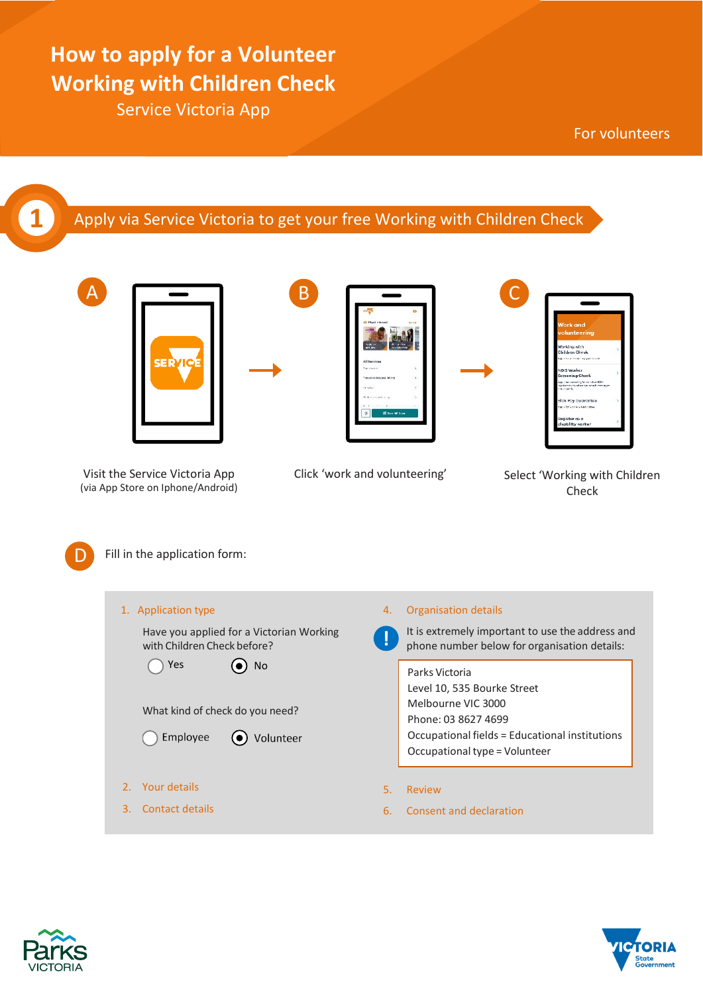# **How to apply for a Volunteer Working with Children Check**

Service Victoria App

For volunteers

### **1** Apply via Service Victoria to get your free Working with Children Check



Visit the Service Victoria App (via App Store on Iphone/Android)



Click 'work and volunteering' Select 'Working with Children

| <b>Work and</b><br>volunteering<br>Working with                                                    |   |
|----------------------------------------------------------------------------------------------------|---|
| Children Check                                                                                     |   |
| that's fraunthere manager chick                                                                    |   |
| NDIS Worker                                                                                        | 5 |
| <b>Screening Check</b>                                                                             |   |
| Apply for something to work for NDS-<br>ten sig tid er toniest ten se self-monteago<br>torus parts |   |
| Sick Pay Guarantee                                                                                 |   |
| replie for Slot Poe Gas crews.                                                                     |   |
| Register as a                                                                                      |   |
| disability worker                                                                                  |   |

Check



A

Fill in the application form:

| 1. Application type                                                                          | 4. | Organisation details                                                                                                                                                          |
|----------------------------------------------------------------------------------------------|----|-------------------------------------------------------------------------------------------------------------------------------------------------------------------------------|
| Have you applied for a Victorian Working<br>with Children Check before?                      |    | It is extremely important to use the address and<br>phone number below for organisation details:                                                                              |
| $\left(\bullet\right)$ No<br>Yes<br>What kind of check do you need?<br>Employee<br>Volunteer |    | Parks Victoria<br>Level 10, 535 Bourke Street<br>Melbourne VIC 3000<br>Phone: 03 8627 4699<br>Occupational fields = Educational institutions<br>Occupational type = Volunteer |
| Your details                                                                                 | 5. | Review                                                                                                                                                                        |
| Contact details<br>3.                                                                        | 6. | Consent and declaration                                                                                                                                                       |
|                                                                                              |    |                                                                                                                                                                               |